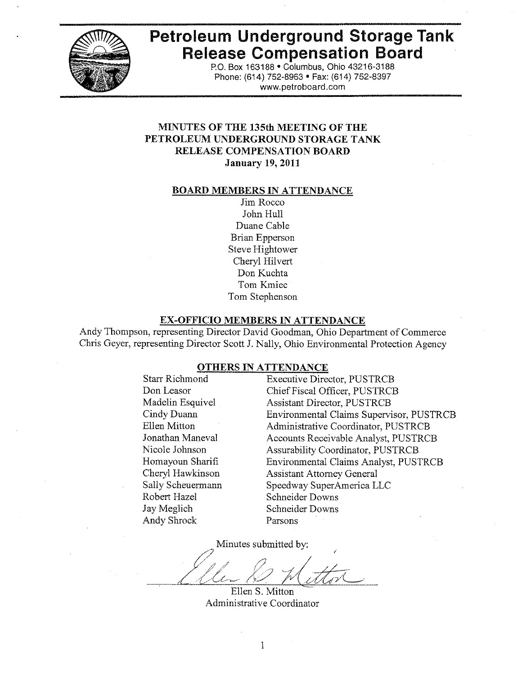

# Petroleum Underground Storage Tank **Release Compensation Board**

P.O. Box 163188 . Columbus, Ohio 43216-3188 Phone: (614) 752-8963 • Fax: (614) 752-8397 www.petroboard.com

# **MINUTES OF THE 135th MEETING OF THE** PETROLEUM UNDERGROUND STORAGE TANK **RELEASE COMPENSATION BOARD January 19, 2011**

#### **BOARD MEMBERS IN ATTENDANCE**

Jim Rocco John Hull Duane Cable **Brian Epperson** Steve Hightower Cheryl Hilvert Don Kuchta Tom Kmiec Tom Stephenson

#### **EX-OFFICIO MEMBERS IN ATTENDANCE**

Andy Thompson, representing Director David Goodman, Ohio Department of Commerce Chris Geyer, representing Director Scott J. Nally, Ohio Environmental Protection Agency

#### **OTHERS IN ATTENDANCE**

**Starr Richmond** Don Leasor Madelin Esquivel Cindy Duann Ellen Mitton Jonathan Maneval Nicole Johnson Homayoun Sharifi Cheryl Hawkinson Sally Scheuermann Robert Hazel Jay Meglich **Andy Shrock** 

**Executive Director, PUSTRCB** Chief Fiscal Officer, PUSTRCB **Assistant Director, PUSTRCB Environmental Claims Supervisor, PUSTRCB** Administrative Coordinator, PUSTRCB Accounts Receivable Analyst, PUSTRCB **Assurability Coordinator, PUSTRCB Environmental Claims Analyst, PUSTRCB Assistant Attorney General** Speedway SuperAmerica LLC **Schneider Downs** Schneider Downs Parsons

Minutes submitted by:

Ellen S. Mitton Administrative Coordinator

1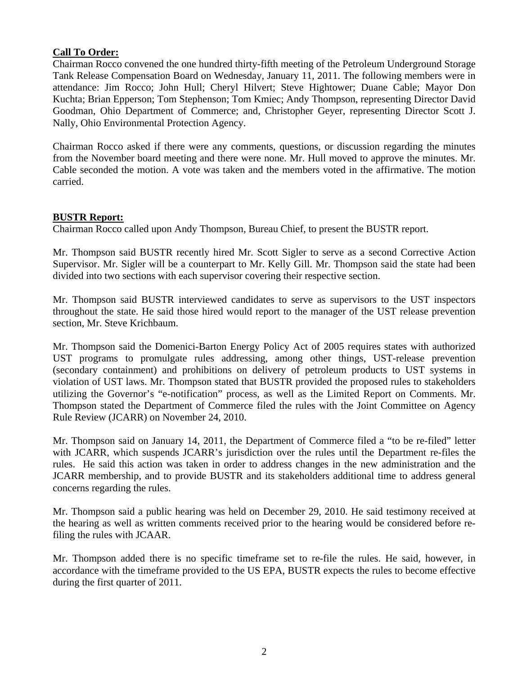# **Call To Order:**

Chairman Rocco convened the one hundred thirty-fifth meeting of the Petroleum Underground Storage Tank Release Compensation Board on Wednesday, January 11, 2011. The following members were in attendance: Jim Rocco; John Hull; Cheryl Hilvert; Steve Hightower; Duane Cable; Mayor Don Kuchta; Brian Epperson; Tom Stephenson; Tom Kmiec; Andy Thompson, representing Director David Goodman, Ohio Department of Commerce; and, Christopher Geyer, representing Director Scott J. Nally, Ohio Environmental Protection Agency.

Chairman Rocco asked if there were any comments, questions, or discussion regarding the minutes from the November board meeting and there were none. Mr. Hull moved to approve the minutes. Mr. Cable seconded the motion. A vote was taken and the members voted in the affirmative. The motion carried.

# **BUSTR Report:**

Chairman Rocco called upon Andy Thompson, Bureau Chief, to present the BUSTR report.

Mr. Thompson said BUSTR recently hired Mr. Scott Sigler to serve as a second Corrective Action Supervisor. Mr. Sigler will be a counterpart to Mr. Kelly Gill. Mr. Thompson said the state had been divided into two sections with each supervisor covering their respective section.

Mr. Thompson said BUSTR interviewed candidates to serve as supervisors to the UST inspectors throughout the state. He said those hired would report to the manager of the UST release prevention section, Mr. Steve Krichbaum.

Mr. Thompson said the Domenici-Barton Energy Policy Act of 2005 requires states with authorized UST programs to promulgate rules addressing, among other things, UST-release prevention (secondary containment) and prohibitions on delivery of petroleum products to UST systems in violation of UST laws. Mr. Thompson stated that BUSTR provided the proposed rules to stakeholders utilizing the Governor's "e-notification" process, as well as the Limited Report on Comments. Mr. Thompson stated the Department of Commerce filed the rules with the Joint Committee on Agency Rule Review (JCARR) on November 24, 2010.

Mr. Thompson said on January 14, 2011, the Department of Commerce filed a "to be re-filed" letter with JCARR, which suspends JCARR's jurisdiction over the rules until the Department re-files the rules. He said this action was taken in order to address changes in the new administration and the JCARR membership, and to provide BUSTR and its stakeholders additional time to address general concerns regarding the rules.

Mr. Thompson said a public hearing was held on December 29, 2010. He said testimony received at the hearing as well as written comments received prior to the hearing would be considered before refiling the rules with JCAAR.

Mr. Thompson added there is no specific timeframe set to re-file the rules. He said, however, in accordance with the timeframe provided to the US EPA, BUSTR expects the rules to become effective during the first quarter of 2011.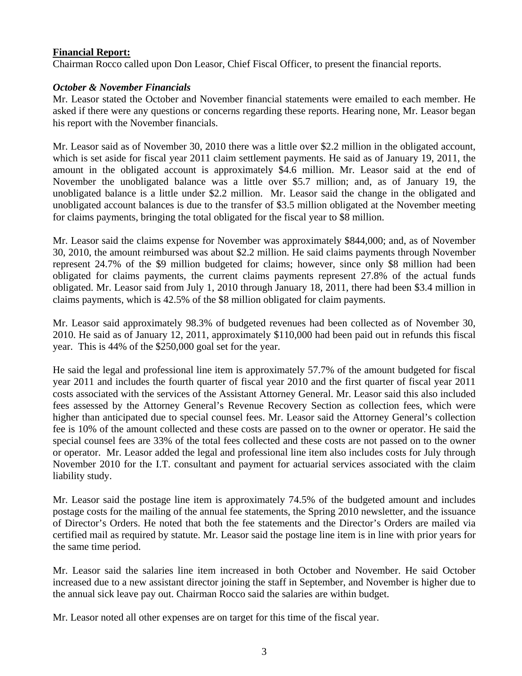# **Financial Report:**

Chairman Rocco called upon Don Leasor, Chief Fiscal Officer, to present the financial reports.

# *October & November Financials*

Mr. Leasor stated the October and November financial statements were emailed to each member. He asked if there were any questions or concerns regarding these reports. Hearing none, Mr. Leasor began his report with the November financials.

Mr. Leasor said as of November 30, 2010 there was a little over \$2.2 million in the obligated account, which is set aside for fiscal year 2011 claim settlement payments. He said as of January 19, 2011, the amount in the obligated account is approximately \$4.6 million. Mr. Leasor said at the end of November the unobligated balance was a little over \$5.7 million; and, as of January 19, the unobligated balance is a little under \$2.2 million. Mr. Leasor said the change in the obligated and unobligated account balances is due to the transfer of \$3.5 million obligated at the November meeting for claims payments, bringing the total obligated for the fiscal year to \$8 million.

Mr. Leasor said the claims expense for November was approximately \$844,000; and, as of November 30, 2010, the amount reimbursed was about \$2.2 million. He said claims payments through November represent 24.7% of the \$9 million budgeted for claims; however, since only \$8 million had been obligated for claims payments, the current claims payments represent 27.8% of the actual funds obligated. Mr. Leasor said from July 1, 2010 through January 18, 2011, there had been \$3.4 million in claims payments, which is 42.5% of the \$8 million obligated for claim payments.

Mr. Leasor said approximately 98.3% of budgeted revenues had been collected as of November 30, 2010. He said as of January 12, 2011, approximately \$110,000 had been paid out in refunds this fiscal year. This is 44% of the \$250,000 goal set for the year.

He said the legal and professional line item is approximately 57.7% of the amount budgeted for fiscal year 2011 and includes the fourth quarter of fiscal year 2010 and the first quarter of fiscal year 2011 costs associated with the services of the Assistant Attorney General. Mr. Leasor said this also included fees assessed by the Attorney General's Revenue Recovery Section as collection fees, which were higher than anticipated due to special counsel fees. Mr. Leasor said the Attorney General's collection fee is 10% of the amount collected and these costs are passed on to the owner or operator. He said the special counsel fees are 33% of the total fees collected and these costs are not passed on to the owner or operator. Mr. Leasor added the legal and professional line item also includes costs for July through November 2010 for the I.T. consultant and payment for actuarial services associated with the claim liability study.

Mr. Leasor said the postage line item is approximately 74.5% of the budgeted amount and includes postage costs for the mailing of the annual fee statements, the Spring 2010 newsletter, and the issuance of Director's Orders. He noted that both the fee statements and the Director's Orders are mailed via certified mail as required by statute. Mr. Leasor said the postage line item is in line with prior years for the same time period.

Mr. Leasor said the salaries line item increased in both October and November. He said October increased due to a new assistant director joining the staff in September, and November is higher due to the annual sick leave pay out. Chairman Rocco said the salaries are within budget.

Mr. Leasor noted all other expenses are on target for this time of the fiscal year.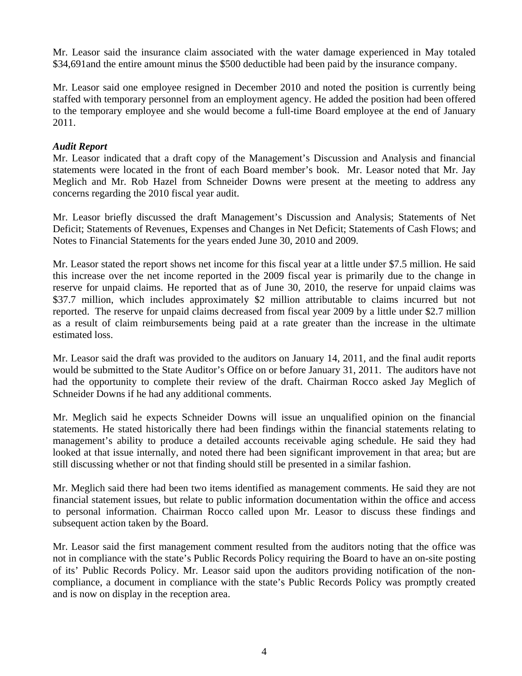Mr. Leasor said the insurance claim associated with the water damage experienced in May totaled \$34,691and the entire amount minus the \$500 deductible had been paid by the insurance company.

Mr. Leasor said one employee resigned in December 2010 and noted the position is currently being staffed with temporary personnel from an employment agency. He added the position had been offered to the temporary employee and she would become a full-time Board employee at the end of January 2011.

# *Audit Report*

Mr. Leasor indicated that a draft copy of the Management's Discussion and Analysis and financial statements were located in the front of each Board member's book. Mr. Leasor noted that Mr. Jay Meglich and Mr. Rob Hazel from Schneider Downs were present at the meeting to address any concerns regarding the 2010 fiscal year audit.

Mr. Leasor briefly discussed the draft Management's Discussion and Analysis; Statements of Net Deficit; Statements of Revenues, Expenses and Changes in Net Deficit; Statements of Cash Flows; and Notes to Financial Statements for the years ended June 30, 2010 and 2009.

Mr. Leasor stated the report shows net income for this fiscal year at a little under \$7.5 million. He said this increase over the net income reported in the 2009 fiscal year is primarily due to the change in reserve for unpaid claims. He reported that as of June 30, 2010, the reserve for unpaid claims was \$37.7 million, which includes approximately \$2 million attributable to claims incurred but not reported. The reserve for unpaid claims decreased from fiscal year 2009 by a little under \$2.7 million as a result of claim reimbursements being paid at a rate greater than the increase in the ultimate estimated loss.

Mr. Leasor said the draft was provided to the auditors on January 14, 2011, and the final audit reports would be submitted to the State Auditor's Office on or before January 31, 2011. The auditors have not had the opportunity to complete their review of the draft. Chairman Rocco asked Jay Meglich of Schneider Downs if he had any additional comments.

Mr. Meglich said he expects Schneider Downs will issue an unqualified opinion on the financial statements. He stated historically there had been findings within the financial statements relating to management's ability to produce a detailed accounts receivable aging schedule. He said they had looked at that issue internally, and noted there had been significant improvement in that area; but are still discussing whether or not that finding should still be presented in a similar fashion.

Mr. Meglich said there had been two items identified as management comments. He said they are not financial statement issues, but relate to public information documentation within the office and access to personal information. Chairman Rocco called upon Mr. Leasor to discuss these findings and subsequent action taken by the Board.

Mr. Leasor said the first management comment resulted from the auditors noting that the office was not in compliance with the state's Public Records Policy requiring the Board to have an on-site posting of its' Public Records Policy. Mr. Leasor said upon the auditors providing notification of the noncompliance, a document in compliance with the state's Public Records Policy was promptly created and is now on display in the reception area.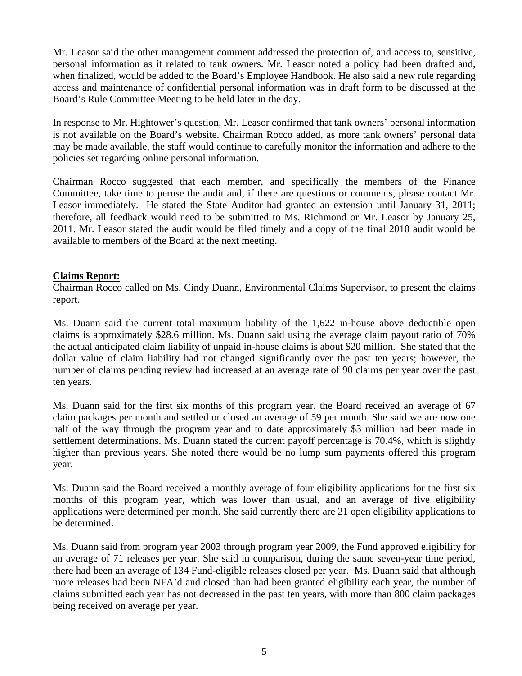Mr. Leasor said the other management comment addressed the protection of, and access to, sensitive, personal information as it related to tank owners. Mr. Leasor noted a policy had been drafted and, when finalized, would be added to the Board's Employee Handbook. He also said a new rule regarding access and maintenance of confidential personal information was in draft form to be discussed at the Board's Rule Committee Meeting to be held later in the day.

In response to Mr. Hightower's question, Mr. Leasor confirmed that tank owners' personal information is not available on the Board's website. Chairman Rocco added, as more tank owners' personal data may be made available, the staff would continue to carefully monitor the information and adhere to the policies set regarding online personal information.

Chairman Rocco suggested that each member, and specifically the members of the Finance Committee, take time to peruse the audit and, if there are questions or comments, please contact Mr. Leasor immediately. He stated the State Auditor had granted an extension until January 31, 2011; therefore, all feedback would need to be submitted to Ms. Richmond or Mr. Leasor by January 25, 2011. Mr. Leasor stated the audit would be filed timely and a copy of the final 2010 audit would be available to members of the Board at the next meeting.

# **Claims Report:**

Chairman Rocco called on Ms. Cindy Duann, Environmental Claims Supervisor, to present the claims report.

Ms. Duann said the current total maximum liability of the 1,622 in-house above deductible open claims is approximately \$28.6 million. Ms. Duann said using the average claim payout ratio of 70% the actual anticipated claim liability of unpaid in-house claims is about \$20 million. She stated that the dollar value of claim liability had not changed significantly over the past ten years; however, the number of claims pending review had increased at an average rate of 90 claims per year over the past ten years.

Ms. Duann said for the first six months of this program year, the Board received an average of 67 claim packages per month and settled or closed an average of 59 per month. She said we are now one half of the way through the program year and to date approximately \$3 million had been made in settlement determinations. Ms. Duann stated the current payoff percentage is 70.4%, which is slightly higher than previous years. She noted there would be no lump sum payments offered this program year.

Ms. Duann said the Board received a monthly average of four eligibility applications for the first six months of this program year, which was lower than usual, and an average of five eligibility applications were determined per month. She said currently there are 21 open eligibility applications to be determined.

Ms. Duann said from program year 2003 through program year 2009, the Fund approved eligibility for an average of 71 releases per year. She said in comparison, during the same seven-year time period, there had been an average of 134 Fund-eligible releases closed per year. Ms. Duann said that although more releases had been NFA'd and closed than had been granted eligibility each year, the number of claims submitted each year has not decreased in the past ten years, with more than 800 claim packages being received on average per year.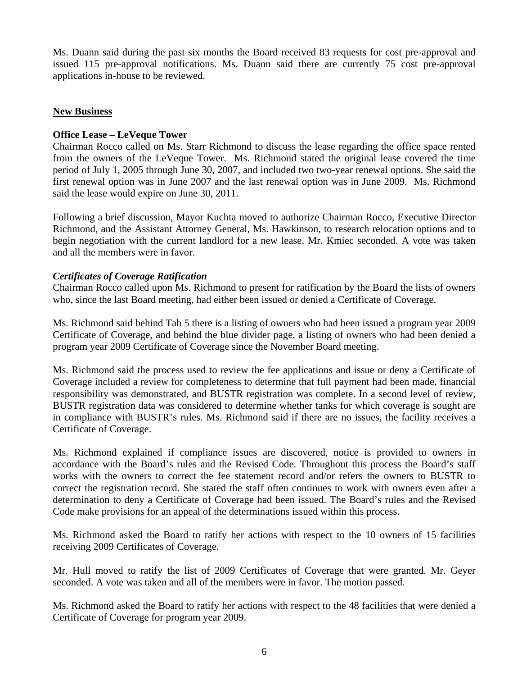Ms. Duann said during the past six months the Board received 83 requests for cost pre-approval and issued 115 pre-approval notifications. Ms. Duann said there are currently 75 cost pre-approval applications in-house to be reviewed.

# **New Business**

# **Office Lease – LeVeque Tower**

Chairman Rocco called on Ms. Starr Richmond to discuss the lease regarding the office space rented from the owners of the LeVeque Tower. Ms. Richmond stated the original lease covered the time period of July 1, 2005 through June 30, 2007, and included two two-year renewal options. She said the first renewal option was in June 2007 and the last renewal option was in June 2009. Ms. Richmond said the lease would expire on June 30, 2011.

Following a brief discussion, Mayor Kuchta moved to authorize Chairman Rocco, Executive Director Richmond, and the Assistant Attorney General, Ms. Hawkinson, to research relocation options and to begin negotiation with the current landlord for a new lease. Mr. Kmiec seconded. A vote was taken and all the members were in favor.

# *Certificates of Coverage Ratification*

Chairman Rocco called upon Ms. Richmond to present for ratification by the Board the lists of owners who, since the last Board meeting, had either been issued or denied a Certificate of Coverage.

Ms. Richmond said behind Tab 5 there is a listing of owners who had been issued a program year 2009 Certificate of Coverage, and behind the blue divider page, a listing of owners who had been denied a program year 2009 Certificate of Coverage since the November Board meeting.

Ms. Richmond said the process used to review the fee applications and issue or deny a Certificate of Coverage included a review for completeness to determine that full payment had been made, financial responsibility was demonstrated, and BUSTR registration was complete. In a second level of review, BUSTR registration data was considered to determine whether tanks for which coverage is sought are in compliance with BUSTR's rules. Ms. Richmond said if there are no issues, the facility receives a Certificate of Coverage.

Ms. Richmond explained if compliance issues are discovered, notice is provided to owners in accordance with the Board's rules and the Revised Code. Throughout this process the Board's staff works with the owners to correct the fee statement record and/or refers the owners to BUSTR to correct the registration record. She stated the staff often continues to work with owners even after a determination to deny a Certificate of Coverage had been issued. The Board's rules and the Revised Code make provisions for an appeal of the determinations issued within this process.

Ms. Richmond asked the Board to ratify her actions with respect to the 10 owners of 15 facilities receiving 2009 Certificates of Coverage.

Mr. Hull moved to ratify the list of 2009 Certificates of Coverage that were granted. Mr. Geyer seconded. A vote was taken and all of the members were in favor. The motion passed.

Ms. Richmond asked the Board to ratify her actions with respect to the 48 facilities that were denied a Certificate of Coverage for program year 2009.